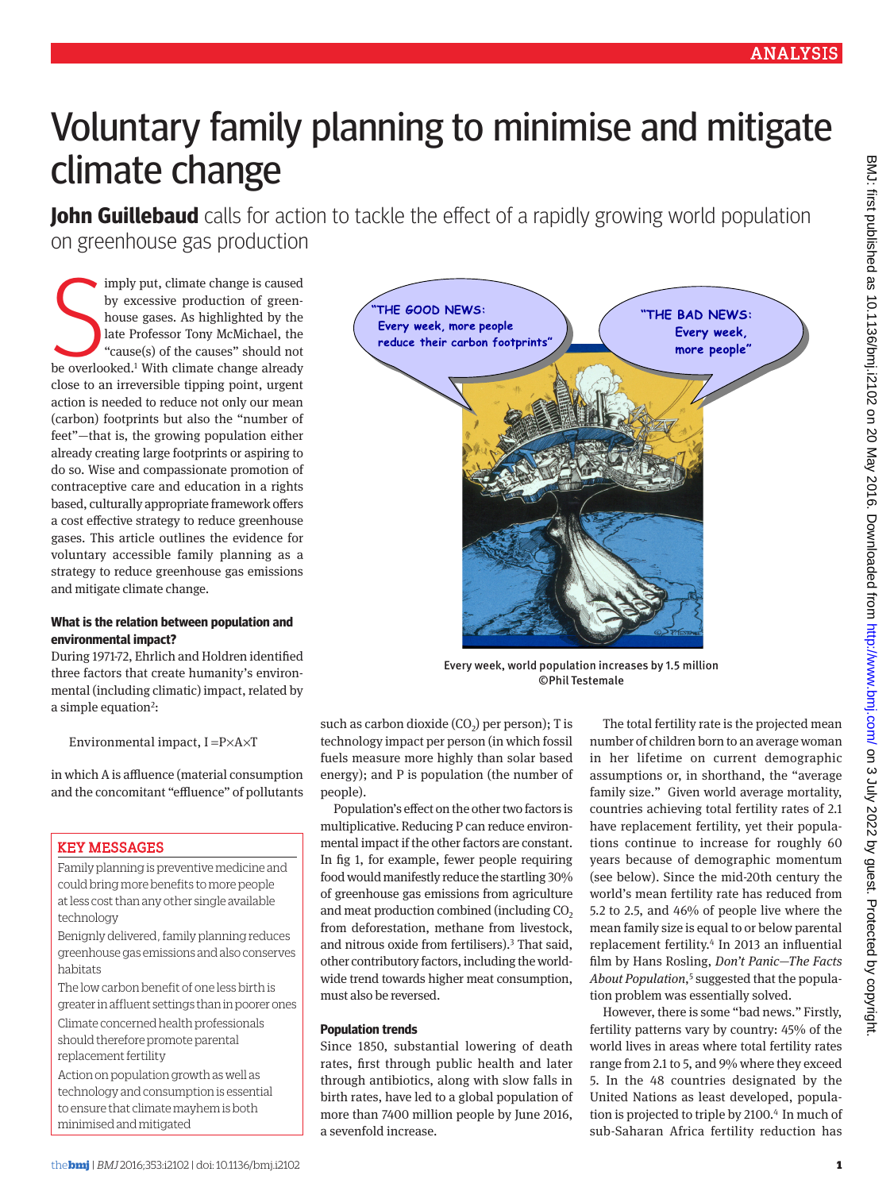# Voluntary family planning to minimise and mitigate climate change

**John Guillebaud** calls for action to tackle the effect of a rapidly growing world population on greenhouse gas production

imply put, climate change is caused<br>by excessive production of green-<br>house gases. As highlighted by the<br>late Professor Tony McMichael, the<br>"cause(s) of the causes" should not<br>be overlooked.<sup>1</sup> With climate change already imply put, climate change is caused by excessive production of greenhouse gases. As highlighted by the late Professor Tony McMichael, the "cause(s) of the causes" should not close to an irreversible tipping point, urgent action is needed to reduce not only our mean (carbon) footprints but also the "number of feet"—that is, the growing population either already creating large footprints or aspiring to do so. Wise and compassionate promotion of contraceptive care and education in a rights based, culturally appropriate framework offers a cost effective strategy to reduce greenhouse gases. This article outlines the evidence for voluntary accessible family planning as a strategy to reduce greenhouse gas emissions and mitigate climate change.

#### **What is the relation between population and environmental impact?**

During 1971-72, Ehrlich and Holdren identified three factors that create humanity's environmental (including climatic) impact, related by a simple equation<sup>2</sup>:

Environmental impact, I =P×A×T

in which A is affluence (material consumption and the concomitant "effluence" of pollutants

## Key messages

Family planning is preventive medicine and could bring more benefits to more people at less cost than any other single available technology

Benignly delivered, family planning reduces greenhouse gas emissions and also conserves habitats

The low carbon benefit of one less birth is greater in affluent settings than in poorer ones

Climate concerned health professionals should therefore promote parental replacement fertility

Action on population growth as well as technology and consumption is essential to ensure that climate mayhem is both minimised and mitigated



Every week, world population increases by 1.5 million ©Phil Testemale

such as carbon dioxide  $(CO<sub>2</sub>)$  per person); T is technology impact per person (in which fossil fuels measure more highly than solar based energy); and P is population (the number of people).

Population's effect on the other two factors is multiplicative. Reducing P can reduce environmental impact if the other factors are constant. In fig 1, for example, fewer people requiring food would manifestly reduce the startling 30% of greenhouse gas emissions from agriculture and meat production combined (including CO<sub>2</sub> from deforestation, methane from livestock, and nitrous oxide from fertilisers).3 That said, other contributory factors, including the worldwide trend towards higher meat consumption, must also be reversed.

#### **Population trends**

Since 1850, substantial lowering of death rates, first through public health and later through antibiotics, along with slow falls in birth rates, have led to a global population of more than 7400 million people by June 2016, a sevenfold increase.

The total fertility rate is the projected mean number of children born to an average woman in her lifetime on current demographic assumptions or, in shorthand, the "average family size." Given world average mortality, countries achieving total fertility rates of 2.1 have replacement fertility, yet their populations continue to increase for roughly 60 years because of demographic momentum (see below). Since the mid-20th century the world's mean fertility rate has reduced from 5.2 to 2.5, and 46% of people live where the mean family size is equal to or below parental replacement fertility.4 In 2013 an influential film by Hans Rosling, *Don't Panic—The Facts About Population*, 5 suggested that the population problem was essentially solved.

However, there is some "bad news." Firstly, fertility patterns vary by country: 45% of the world lives in areas where total fertility rates range from 2.1 to 5, and 9% where they exceed 5. In the 48 countries designated by the United Nations as least developed, population is projected to triple by 2100.<sup>4</sup> In much of sub-Saharan Africa fertility reduction has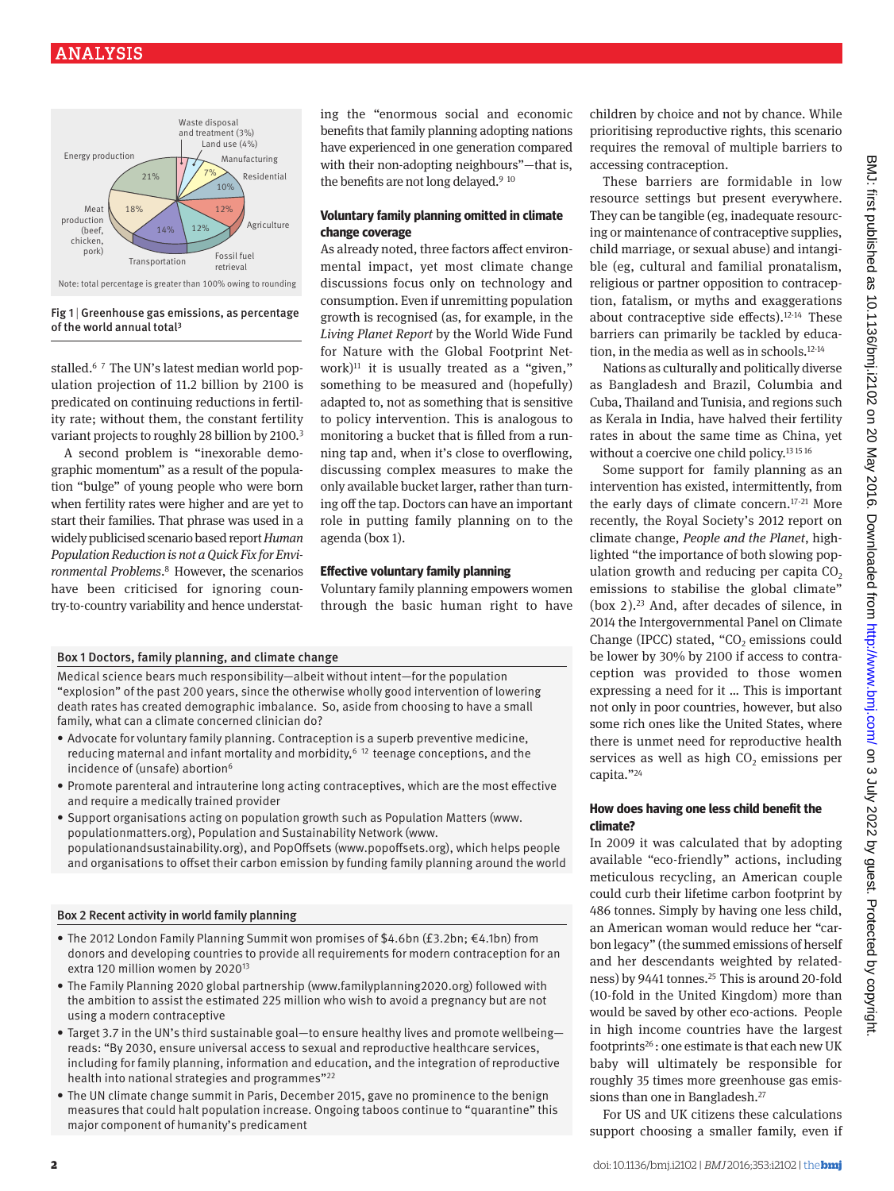

#### Fig  $1$  | Greenhouse gas emissions, as percentage of the world annual total3

stalled.<sup>67</sup> The UN's latest median world population projection of 11.2 billion by 2100 is predicated on continuing reductions in fertility rate; without them, the constant fertility variant projects to roughly 28 billion by 2100.<sup>3</sup>

A second problem is "inexorable demographic momentum" as a result of the population "bulge" of young people who were born when fertility rates were higher and are yet to start their families. That phrase was used in a widely publicised scenario based report *Human Population Reduction is not a Quick Fix for Environmental Problems*. 8 However, the scenarios have been criticised for ignoring country-to-country variability and hence understating the "enormous social and economic benefits that family planning adopting nations have experienced in one generation compared with their non-adopting neighbours"—that is, the benefits are not long delayed.<sup>9 10</sup>

#### **Voluntary family planning omitted in climate change coverage**

As already noted, three factors affect environmental impact, yet most climate change discussions focus only on technology and consumption. Even if unremitting population growth is recognised (as, for example, in the *Living Planet Report* by the World Wide Fund for Nature with the Global Footprint Network)<sup>11</sup> it is usually treated as a "given." something to be measured and (hopefully) adapted to, not as something that is sensitive to policy intervention. This is analogous to monitoring a bucket that is filled from a running tap and, when it's close to overflowing, discussing complex measures to make the only available bucket larger, rather than turning off the tap. Doctors can have an important role in putting family planning on to the agenda (box 1).

## **Effective voluntary family planning**

Voluntary family planning empowers women through the basic human right to have

#### Box 1 Doctors, family planning, and climate change

Medical science bears much responsibility—albeit without intent—for the population "explosion" of the past 200 years, since the otherwise wholly good intervention of lowering death rates has created demographic imbalance. So, aside from choosing to have a small family, what can a climate concerned clinician do?

- Advocate for voluntary family planning. Contraception is a superb preventive medicine, reducing maternal and infant mortality and morbidity,  $6^{6}$  12 teenage conceptions, and the incidence of (unsafe) abortion<sup>6</sup>
- • Promote parenteral and intrauterine long acting contraceptives, which are the most effective and require a medically trained provider
- • Support organisations acting on population growth such as Population Matters (www. populationmatters.org), Population and Sustainability Network (www. populationandsustainability.org), and PopOffsets (www.popoffsets.org), which helps people and organisations to offset their carbon emission by funding family planning around the world

#### Box 2 Recent activity in world family planning

- • The 2012 London Family Planning Summit won promises of \$4.6bn (£3.2bn; €4.1bn) from donors and developing countries to provide all requirements for modern contraception for an extra 120 million women by 202013
- • The Family Planning 2020 global partnership (www.familyplanning2020.org) followed with the ambition to assist the estimated 225 million who wish to avoid a pregnancy but are not using a modern contraceptive
- Target 3.7 in the UN's third sustainable goal—to ensure healthy lives and promote wellbeing reads: "By 2030, ensure universal access to sexual and reproductive healthcare services, including for family planning, information and education, and the integration of reproductive health into national strategies and programmes"22
- The UN climate change summit in Paris, December 2015, gave no prominence to the benign measures that could halt population increase. Ongoing taboos continue to "quarantine" this major component of humanity's predicament

children by choice and not by chance. While prioritising reproductive rights, this scenario requires the removal of multiple barriers to accessing contraception.

These barriers are formidable in low resource settings but present everywhere. They can be tangible (eg, inadequate resourcing or maintenance of contraceptive supplies, child marriage, or sexual abuse) and intangible (eg, cultural and familial pronatalism, religious or partner opposition to contraception, fatalism, or myths and exaggerations about contraceptive side effects).12-14 These barriers can primarily be tackled by education, in the media as well as in schools.12-14

Nations as culturally and politically diverse as Bangladesh and Brazil, Columbia and Cuba, Thailand and Tunisia, and regions such as Kerala in India, have halved their fertility rates in about the same time as China, yet without a coercive one child policy.<sup>13 15 16</sup>

Some support for family planning as an intervention has existed, intermittently, from the early days of climate concern.17-21 More recently, the Royal Society's 2012 report on climate change, *People and the Planet*, highlighted "the importance of both slowing population growth and reducing per capita  $CO<sub>2</sub>$ emissions to stabilise the global climate" (box  $2$ ).<sup>23</sup> And, after decades of silence, in 2014 the Intergovernmental Panel on Climate Change (IPCC) stated, " $CO<sub>2</sub>$  emissions could be lower by 30% by 2100 if access to contraception was provided to those women expressing a need for it … This is important not only in poor countries, however, but also some rich ones like the United States, where there is unmet need for reproductive health services as well as high  $CO<sub>2</sub>$  emissions per capita."24

#### **How does having one less child benefit the climate?**

In 2009 it was calculated that by adopting available "eco-friendly" actions, including meticulous recycling, an American couple could curb their lifetime carbon footprint by 486 tonnes. Simply by having one less child, an American woman would reduce her "carbon legacy" (the summed emissions of herself and her descendants weighted by relatedness) by 9441 tonnes.<sup>25</sup> This is around 20-fold (10-fold in the United Kingdom) more than would be saved by other eco-actions. People in high income countries have the largest footprints26 : one estimate is that each new UK baby will ultimately be responsible for roughly 35 times more greenhouse gas emissions than one in Bangladesh.27

For US and UK citizens these calculations support choosing a smaller family, even if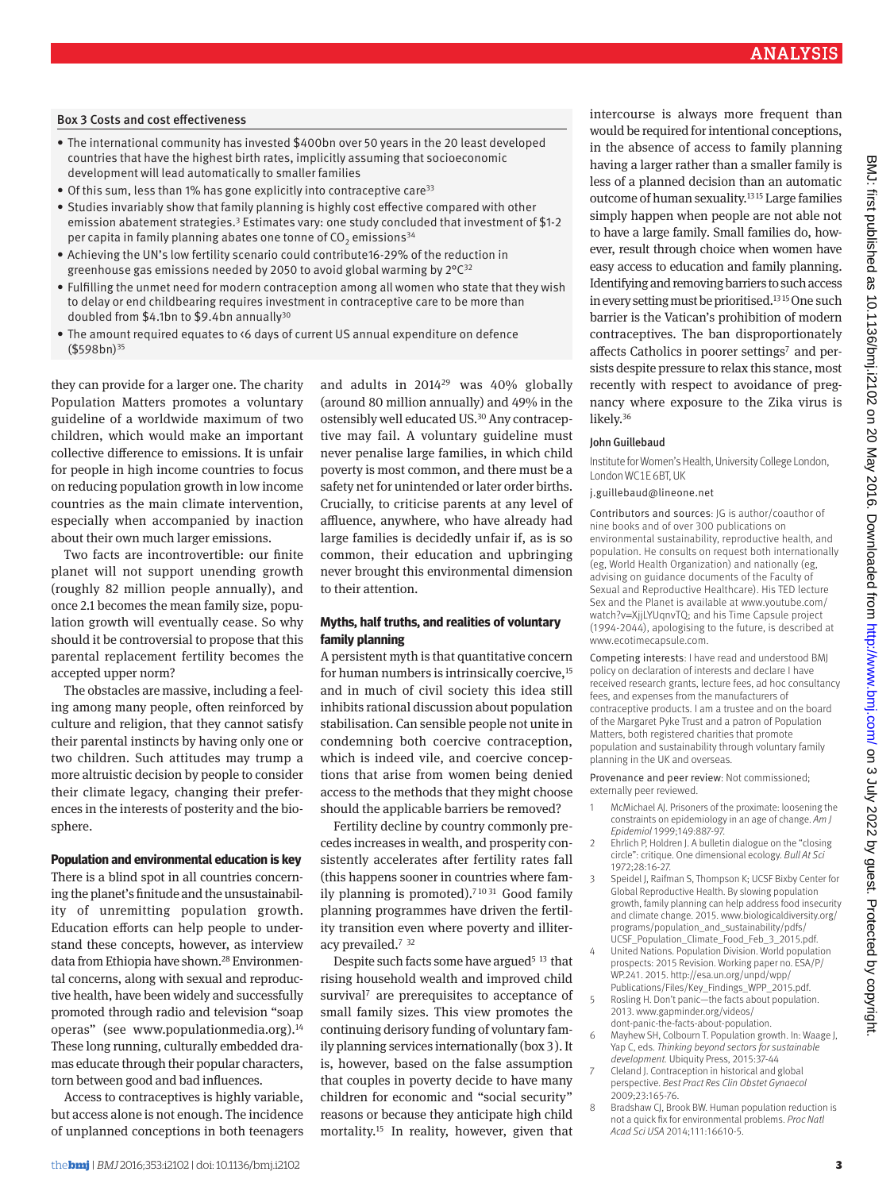## Box 3 Costs and cost effectiveness

- • The international community has invested \$400bn over 50 years in the 20 least developed countries that have the highest birth rates, implicitly assuming that socioeconomic development will lead automatically to smaller families
- Of this sum, less than 1% has gone explicitly into contraceptive care<sup>33</sup>
- • Studies invariably show that family planning is highly cost effective compared with other emission abatement strategies.<sup>3</sup> Estimates vary: one study concluded that investment of \$1-2 per capita in family planning abates one tonne of  $CO<sub>2</sub>$  emissions<sup>34</sup>
- • Achieving the UN's low fertility scenario could contribute16-29% of the reduction in greenhouse gas emissions needed by 2050 to avoid global warming by 2°C32
- • Fulfilling the unmet need for modern contraception among all women who state that they wish to delay or end childbearing requires investment in contraceptive care to be more than doubled from \$4.1bn to \$9.4bn annually30
- The amount required equates to <6 days of current US annual expenditure on defence  $($598bn)^{35}$

they can provide for a larger one. The charity Population Matters promotes a voluntary guideline of a worldwide maximum of two children, which would make an important collective difference to emissions. It is unfair for people in high income countries to focus on reducing population growth in low income countries as the main climate intervention, especially when accompanied by inaction about their own much larger emissions.

Two facts are incontrovertible: our finite planet will not support unending growth (roughly 82 million people annually), and once 2.1 becomes the mean family size, population growth will eventually cease. So why should it be controversial to propose that this parental replacement fertility becomes the accepted upper norm?

The obstacles are massive, including a feeling among many people, often reinforced by culture and religion, that they cannot satisfy their parental instincts by having only one or two children. Such attitudes may trump a more altruistic decision by people to consider their climate legacy, changing their preferences in the interests of posterity and the biosphere.

#### **Population and environmental education is key**

There is a blind spot in all countries concerning the planet's finitude and the unsustainability of unremitting population growth. Education efforts can help people to understand these concepts, however, as interview data from Ethiopia have shown.<sup>28</sup> Environmental concerns, along with sexual and reproductive health, have been widely and successfully promoted through radio and television "soap operas" (see www.populationmedia.org).14 These long running, culturally embedded dramas educate through their popular characters, torn between good and bad influences.

Access to contraceptives is highly variable, but access alone is not enough. The incidence of unplanned conceptions in both teenagers and adults in 201429 was 40% globally (around 80 million annually) and 49% in the ostensibly well educated US.30 Any contraceptive may fail. A voluntary guideline must never penalise large families, in which child poverty is most common, and there must be a safety net for unintended or later order births. Crucially, to criticise parents at any level of affluence, anywhere, who have already had large families is decidedly unfair if, as is so common, their education and upbringing never brought this environmental dimension to their attention.

#### **Myths, half truths, and realities of voluntary family planning**

A persistent myth is that quantitative concern for human numbers is intrinsically coercive,<sup>15</sup> and in much of civil society this idea still inhibits rational discussion about population stabilisation. Can sensible people not unite in condemning both coercive contraception, which is indeed vile, and coercive conceptions that arise from women being denied access to the methods that they might choose should the applicable barriers be removed?

Fertility decline by country commonly precedes increases in wealth, and prosperity consistently accelerates after fertility rates fall (this happens sooner in countries where family planning is promoted).<sup>71031</sup> Good family planning programmes have driven the fertility transition even where poverty and illiteracy prevailed.7 <sup>32</sup>

Despite such facts some have argued<sup>5 13</sup> that rising household wealth and improved child survival<sup>7</sup> are prerequisites to acceptance of small family sizes. This view promotes the continuing derisory funding of voluntary family planning services internationally (box 3). It is, however, based on the false assumption that couples in poverty decide to have many children for economic and "social security" reasons or because they anticipate high child mortality.15 In reality, however, given that

intercourse is always more frequent than would be required for intentional conceptions, in the absence of access to family planning having a larger rather than a smaller family is less of a planned decision than an automatic outcome of human sexuality.13 15 Large families simply happen when people are not able not to have a large family*.* Small families do, however, result through choice when women have easy access to education and family planning. Identifying and removing barriers to such access in every setting must be prioritised.<sup>1315</sup> One such barrier is the Vatican's prohibition of modern contraceptives. The ban disproportionately affects Catholics in poorer settings<sup>7</sup> and persists despite pressure to relax this stance, most recently with respect to avoidance of pregnancy where exposure to the Zika virus is likely.36

#### JohnGuillebaud

Institute for Women's Health, University College London, London WC1E 6BT, UK

j.guillebaud@lineone.net

Contributors and sources: JG is author/coauthor of nine books and of over 300 publications on environmental sustainability, reproductive health, and population. He consults on request both internationally (eg, World Health Organization) and nationally (eg, advising on guidance documents of the Faculty of Sexual and Reproductive Healthcare). His TED lecture Sex and the Planet is available at www.youtube.com/ watch?v=XjjLYUqnvTQ; and his Time Capsule project (1994-2044), apologising to the future, is described at www.ecotimecapsule.com.

Competing interests: I have read and understood BMJ policy on declaration of interests and declare I have received research grants, lecture fees, ad hoc consultancy fees, and expenses from the manufacturers of contraceptive products. I am a trustee and on the board of the Margaret Pyke Trust and a patron of Population Matters, both registered charities that promote population and sustainability through voluntary family planning in the UK and overseas.

Provenance and peer review: Not commissioned; externally peer reviewed.

- 1 McMichael AJ. Prisoners of the proximate: loosening the constraints on epidemiology in an age of change. *Am J Epidemiol* 1999;149:887-97.
- 2 Ehrlich P, Holdren J. A bulletin dialogue on the "closing circle": critique. One dimensional ecology. *Bull At Sci* 1972;28:16-27.
- 3 Speidel J, Raifman S, Thompson K; UCSF Bixby Center for Global Reproductive Health. By slowing population growth, family planning can help address food insecurity and climate change. 2015. www.biologicaldiversity.org/ programs/population\_and\_sustainability/pdfs/ UCSF\_Population\_Climate\_Food\_Feb\_3\_2015.pdf.
- 4 United Nations. Population Division. World population prospects: 2015 Revision. Working paper no. ESA/P/ WP.241. 2015. http://esa.un.org/unpd/wpp/ Publications/Files/Key\_Findings\_WPP\_2015.pdf.
- Rosling H. Don't panic—the facts about population. 2013. www.gapminder.org/videos/ dont-panic-the-facts-about-population.
- 6 Mayhew SH, Colbourn T. Population growth. In: Waage J, Yap C, eds. *Thinking beyond sectors for sustainable development.* Ubiquity Press, 2015:37-44
- Cleland J. Contraception in historical and global perspective. *Best Pract Res Clin Obstet Gynaecol* 2009;23:165-76.
- 8 Bradshaw CJ, Brook BW. Human population reduction is not a quick fix for environmental problems. *Proc Natl Acad Sci USA* 2014;111:16610-5.